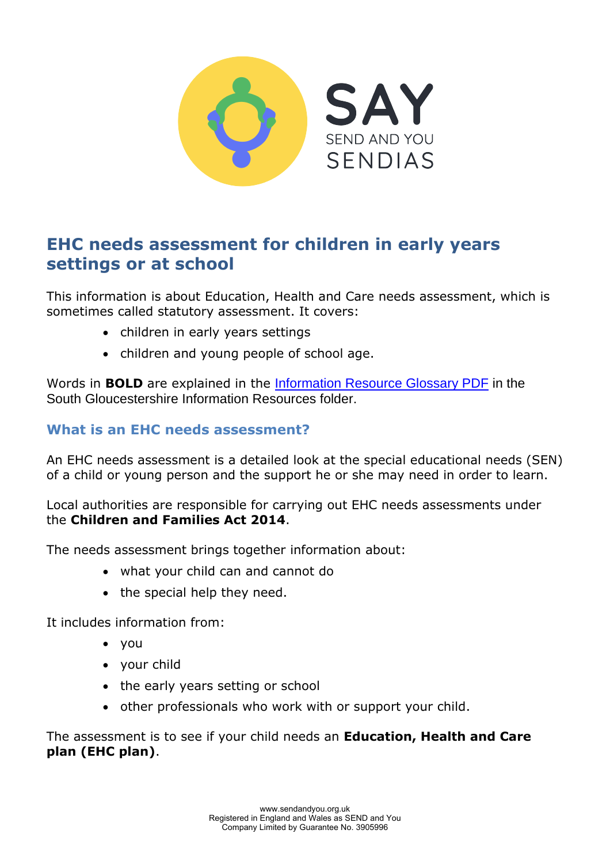

# **EHC needs assessment for children in early years settings or at school**

This information is about Education, Health and Care needs assessment, which is sometimes called statutory assessment. It covers:

- children in early years settings
- children and young people of school age.

Words in **BOLD** are explained in the [Information Resource Glossary PDF](https://www.sendandyou.org.uk/wp-content/uploads/2021/08/Information-Resource-Glossary-REVISED2-new.pdf) in the South Gloucestershire Information Resources folder.

# **What is an EHC needs assessment?**

An EHC needs assessment is a detailed look at the special educational needs (SEN) of a child or young person and the support he or she may need in order to learn.

Local authorities are responsible for carrying out EHC needs assessments under the **Children and Families Act 2014**.

The needs assessment brings together information about:

- what your child can and cannot do
- the special help they need.

It includes information from:

- you
- your child
- the early years setting or school
- other professionals who work with or support your child.

The assessment is to see if your child needs an **Education, Health and Care plan (EHC plan)**.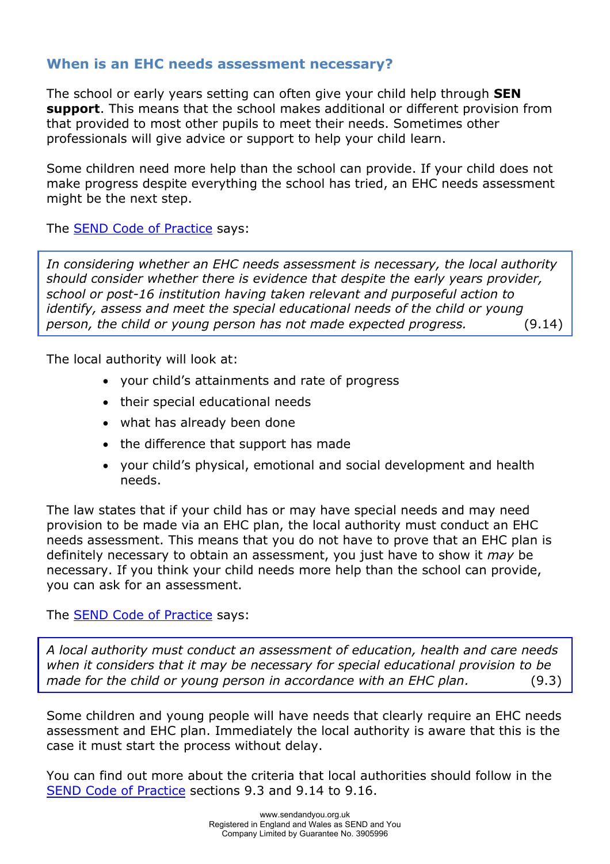# **When is an EHC needs assessment necessary?**

The school or early years setting can often give your child help through **SEN support**. This means that the school makes additional or different provision from that provided to most other pupils to meet their needs. Sometimes other professionals will give advice or support to help your child learn.

Some children need more help than the school can provide. If your child does not make progress despite everything the school has tried, an EHC needs assessment might be the next step.

The **SEND Code of Practice** says:

*In considering whether an EHC needs assessment is necessary, the local authority should consider whether there is evidence that despite the early years provider, school or post-16 institution having taken relevant and purposeful action to identify, assess and meet the special educational needs of the child or young person, the child or young person has not made expected progress.* (9.14)

The local authority will look at:

- your child's attainments and rate of progress
- their special educational needs
- what has already been done
- the difference that support has made
- your child's physical, emotional and social development and health needs.

The law states that if your child has or may have special needs and may need provision to be made via an EHC plan, the local authority must conduct an EHC needs assessment. This means that you do not have to prove that an EHC plan is definitely necessary to obtain an assessment, you just have to show it *may* be necessary. If you think your child needs more help than the school can provide, you can ask for an assessment.

The [SEND Code of Practice](https://www.gov.uk/government/publications/send-code-of-practice-0-to-25) says:

*A local authority must conduct an assessment of education, health and care needs when it considers that it may be necessary for special educational provision to be made for the child or young person in accordance with an EHC plan.* (9.3)

Some children and young people will have needs that clearly require an EHC needs assessment and EHC plan. Immediately the local authority is aware that this is the case it must start the process without delay.

You can find out more about the criteria that local authorities should follow in the [SEND Code of Practice](https://www.gov.uk/government/publications/send-code-of-practice-0-to-25) sections 9.3 and 9.14 to 9.16.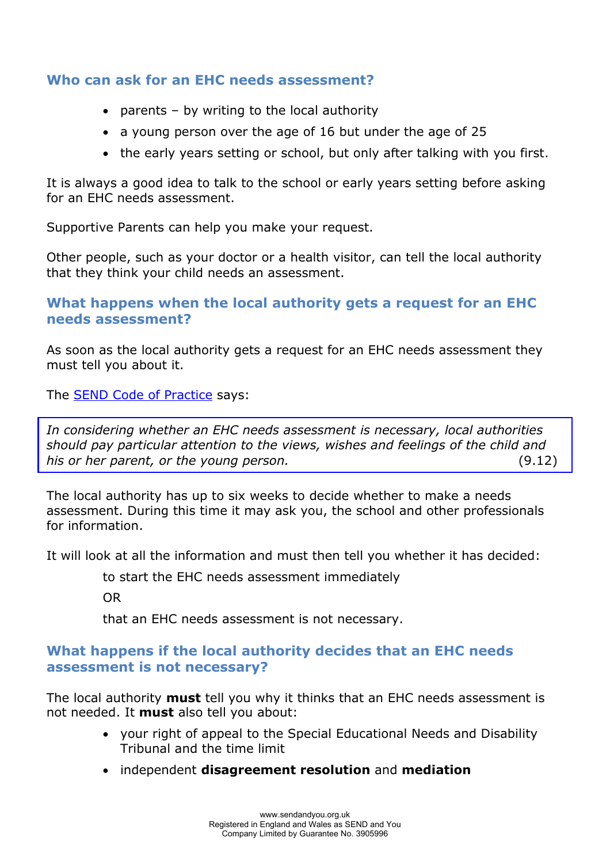#### **Who can ask for an EHC needs assessment?**

- parents  $-$  by writing to the local authority
- a young person over the age of 16 but under the age of 25
- the early years setting or school, but only after talking with you first.

It is always a good idea to talk to the school or early years setting before asking for an EHC needs assessment.

Supportive Parents can help you make your request.

Other people, such as your doctor or a health visitor, can tell the local authority that they think your child needs an assessment.

#### **What happens when the local authority gets a request for an EHC needs assessment?**

As soon as the local authority gets a request for an EHC needs assessment they must tell you about it.

The **SEND Code of Practice** says:

*In considering whether an EHC needs assessment is necessary, local authorities should pay particular attention to the views, wishes and feelings of the child and his or her parent, or the young person.* (9.12)

The local authority has up to six weeks to decide whether to make a needs assessment. During this time it may ask you, the school and other professionals for information.

It will look at all the information and must then tell you whether it has decided:

to start the EHC needs assessment immediately

OR

that an EHC needs assessment is not necessary.

# **What happens if the local authority decides that an EHC needs assessment is not necessary?**

The local authority **must** tell you why it thinks that an EHC needs assessment is not needed. It **must** also tell you about:

- your right of appeal to the Special Educational Needs and Disability Tribunal and the time limit
- independent **disagreement resolution** and **mediation**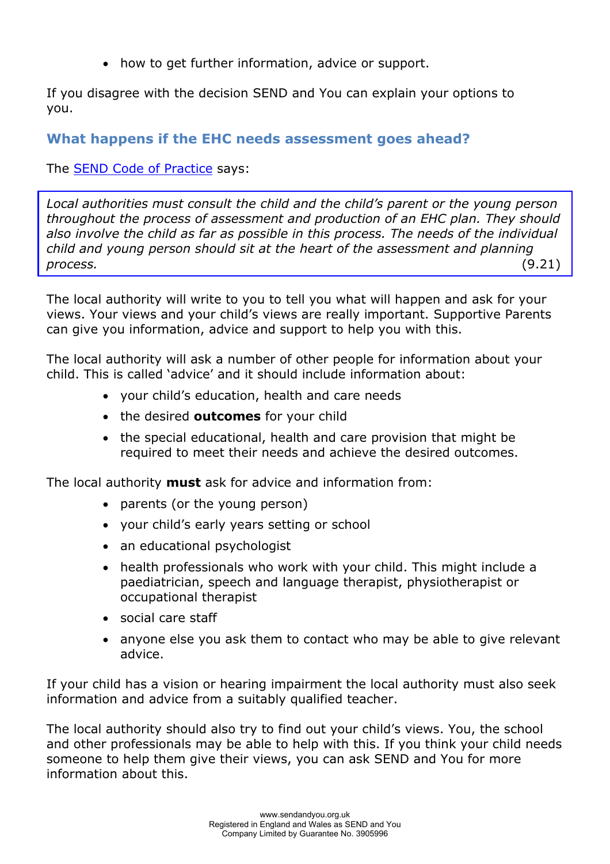• how to get further information, advice or support.

If you disagree with the decision SEND and You can explain your options to you.

# **What happens if the EHC needs assessment goes ahead?**

The [SEND Code of Practice](https://www.gov.uk/government/publications/send-code-of-practice-0-to-25) says:

*Local authorities must consult the child and the child's parent or the young person throughout the process of assessment and production of an EHC plan. They should also involve the child as far as possible in this process. The needs of the individual child and young person should sit at the heart of the assessment and planning process.* (9.21)

The local authority will write to you to tell you what will happen and ask for your views. Your views and your child's views are really important. Supportive Parents can give you information, advice and support to help you with this.

The local authority will ask a number of other people for information about your child. This is called 'advice' and it should include information about:

- your child's education, health and care needs
- the desired **outcomes** for your child
- the special educational, health and care provision that might be required to meet their needs and achieve the desired outcomes.

The local authority **must** ask for advice and information from:

- parents (or the young person)
- your child's early years setting or school
- an educational psychologist
- health professionals who work with your child. This might include a paediatrician, speech and language therapist, physiotherapist or occupational therapist
- social care staff
- anyone else you ask them to contact who may be able to give relevant advice.

If your child has a vision or hearing impairment the local authority must also seek information and advice from a suitably qualified teacher.

The local authority should also try to find out your child's views. You, the school and other professionals may be able to help with this. If you think your child needs someone to help them give their views, you can ask SEND and You for more information about this.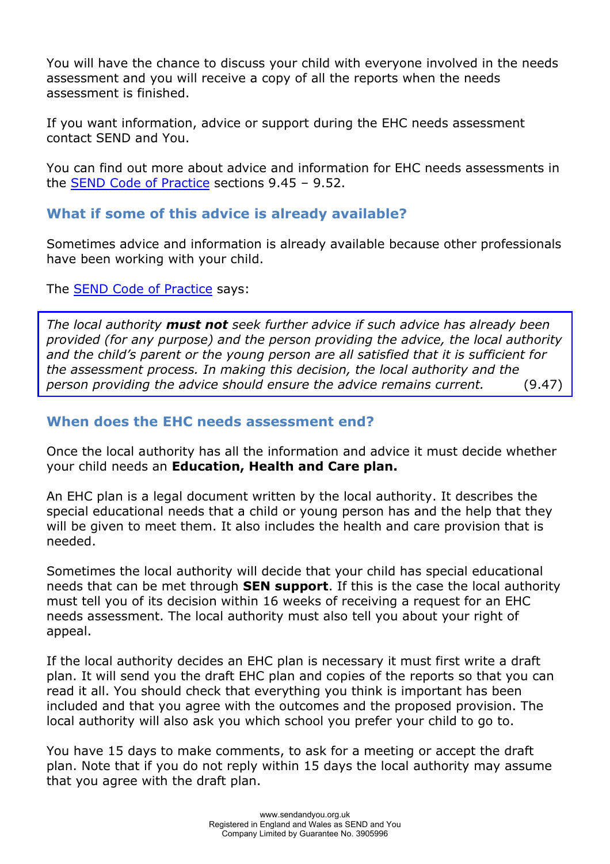You will have the chance to discuss your child with everyone involved in the needs assessment and you will receive a copy of all the reports when the needs assessment is finished.

If you want information, advice or support during the EHC needs assessment contact SEND and You.

You can find out more about advice and information for EHC needs assessments in the [SEND Code of Practice](https://www.gov.uk/government/publications/send-code-of-practice-0-to-25) sections 9.45 – 9.52.

#### **What if some of this advice is already available?**

Sometimes advice and information is already available because other professionals have been working with your child.

The [SEND Code of Practice](https://www.gov.uk/government/publications/send-code-of-practice-0-to-25) says:

*The local authority must not seek further advice if such advice has already been provided (for any purpose) and the person providing the advice, the local authority and the child's parent or the young person are all satisfied that it is sufficient for the assessment process. In making this decision, the local authority and the person providing the advice should ensure the advice remains current.* (9.47)

# **When does the EHC needs assessment end?**

Once the local authority has all the information and advice it must decide whether your child needs an **Education, Health and Care plan.** 

An EHC plan is a legal document written by the local authority. It describes the special educational needs that a child or young person has and the help that they will be given to meet them. It also includes the health and care provision that is needed.

Sometimes the local authority will decide that your child has special educational needs that can be met through **SEN support**. If this is the case the local authority must tell you of its decision within 16 weeks of receiving a request for an EHC needs assessment. The local authority must also tell you about your right of appeal.

If the local authority decides an EHC plan is necessary it must first write a draft plan. It will send you the draft EHC plan and copies of the reports so that you can read it all. You should check that everything you think is important has been included and that you agree with the outcomes and the proposed provision. The local authority will also ask you which school you prefer your child to go to.

You have 15 days to make comments, to ask for a meeting or accept the draft plan. Note that if you do not reply within 15 days the local authority may assume that you agree with the draft plan.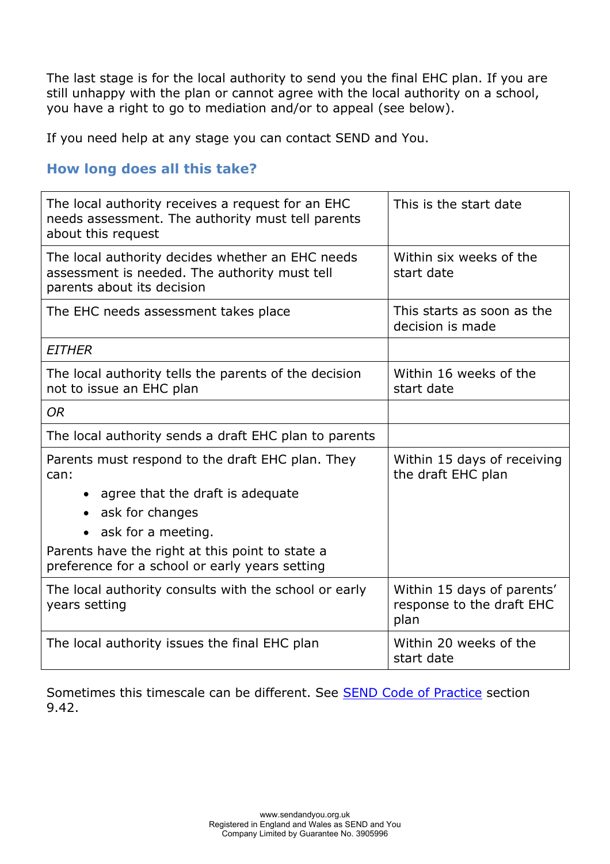The last stage is for the local authority to send you the final EHC plan. If you are still unhappy with the plan or cannot agree with the local authority on a school, you have a right to go to mediation and/or to appeal (see below).

If you need help at any stage you can contact SEND and You.

# **How long does all this take?**

| The local authority receives a request for an EHC<br>needs assessment. The authority must tell parents<br>about this request    | This is the start date                                          |
|---------------------------------------------------------------------------------------------------------------------------------|-----------------------------------------------------------------|
| The local authority decides whether an EHC needs<br>assessment is needed. The authority must tell<br>parents about its decision | Within six weeks of the<br>start date                           |
| The EHC needs assessment takes place                                                                                            | This starts as soon as the<br>decision is made                  |
| <b>EITHER</b>                                                                                                                   |                                                                 |
| The local authority tells the parents of the decision<br>not to issue an EHC plan                                               | Within 16 weeks of the<br>start date                            |
| <b>OR</b>                                                                                                                       |                                                                 |
| The local authority sends a draft EHC plan to parents                                                                           |                                                                 |
| Parents must respond to the draft EHC plan. They<br>can:                                                                        | Within 15 days of receiving<br>the draft EHC plan               |
| • agree that the draft is adequate                                                                                              |                                                                 |
| • ask for changes                                                                                                               |                                                                 |
| ask for a meeting.<br>$\bullet$                                                                                                 |                                                                 |
| Parents have the right at this point to state a<br>preference for a school or early years setting                               |                                                                 |
| The local authority consults with the school or early<br>years setting                                                          | Within 15 days of parents'<br>response to the draft EHC<br>plan |
| The local authority issues the final EHC plan                                                                                   | Within 20 weeks of the<br>start date                            |

Sometimes this timescale can be different. See **SEND Code of Practice** section 9.42.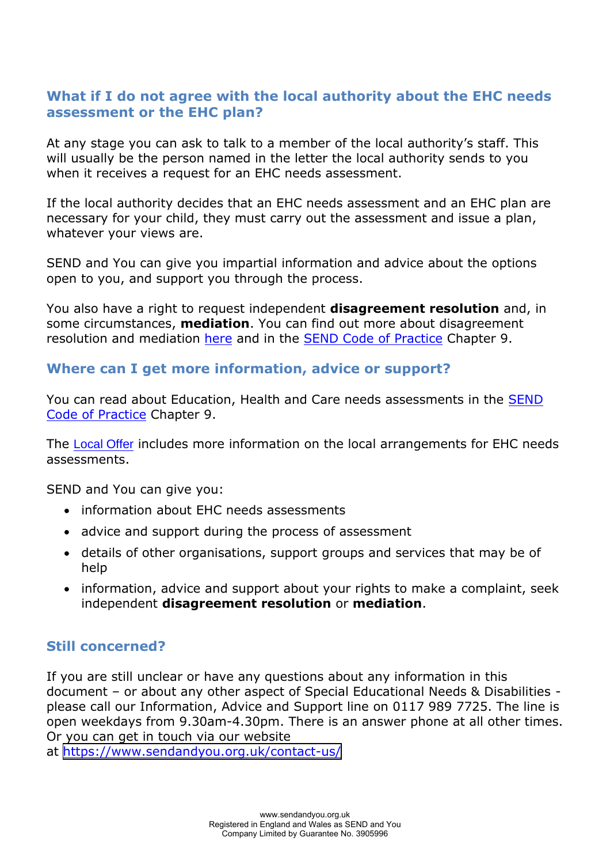# **What if I do not agree with the local authority about the EHC needs assessment or the EHC plan?**

At any stage you can ask to talk to a member of the local authority's staff. This will usually be the person named in the letter the local authority sends to you when it receives a request for an EHC needs assessment.

If the local authority decides that an EHC needs assessment and an EHC plan are necessary for your child, they must carry out the assessment and issue a plan, whatever your views are.

SEND and You can give you impartial information and advice about the options open to you, and support you through the process.

You also have a right to request independent **disagreement resolution** and, in some circumstances, **mediation**. You can find out more about disagreement resolution and mediatio[n here](https://www.sendandyou.org.uk/wp-content/uploads/2021/08/8-What-if-I-do-not-agree-South-Glos-newlogo.pdf) and in the [SEND Code of Practice](https://www.gov.uk/government/publications/send-code-of-practice-0-to-25) Chapter 9.

# **Where can I get more information, advice or support?**

You can read about Education, Health and Care needs assessments in the [SEND](https://www.gov.uk/government/publications/send-code-of-practice-0-to-25)  [Code of Practice](https://www.gov.uk/government/publications/send-code-of-practice-0-to-25) Chapter 9.

The [Local Offer](http://www.southglos.gov.uk/health-and-social-care/local-offer/) includes more information on the local arrangements for EHC needs assessments.

SEND and You can give you:

- information about EHC needs assessments
- advice and support during the process of assessment
- details of other organisations, support groups and services that may be of help
- information, advice and support about your rights to make a complaint, seek independent **disagreement resolution** or **mediation**.

#### **Still concerned?**

If you are still unclear or have any questions about any information in this document – or about any other aspect of Special Educational Needs & Disabilities please call our Information, Advice and Support line on 0117 989 7725. The line is open weekdays from 9.30am-4.30pm. There is an answer phone at all other times. Or you can get in touch via our website

at [https://www.sendandyou.org.uk/contact-us/](http://www.supportiveparents.org.uk/contact)